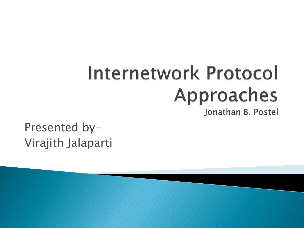# Internetwork Protocol Approaches

Jonathan B. Postel

Presented by-Virajith Jalaparti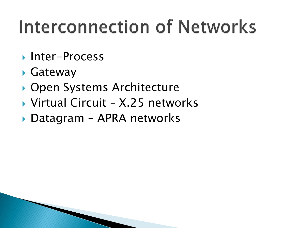## Interconnection of Networks

- ▶ Inter-Process
- Gateway
- ▶ Open Systems Architecture
- ▶ Virtual Circuit X.25 networks
- ▶ Datagram APRA networks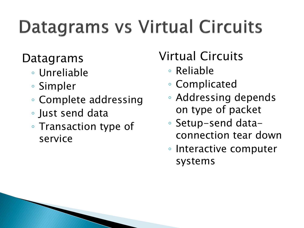## **Datagrams vs Virtual Circuits**

#### Datagrams

- Unreliable
- Simpler
- Complete addressing
- Just send data
- Transaction type of service

#### Virtual Circuits

- Reliable
- Complicated
- Addressing depends on type of packet
- Setup-send dataconnection tear down
- Interactive computer systems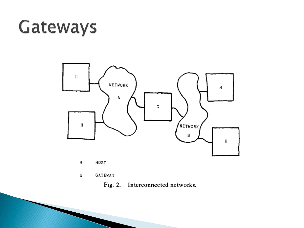#### Gateways



- HOST Н
- GATEWAY G
	- Interconnected networks. Fig. 2.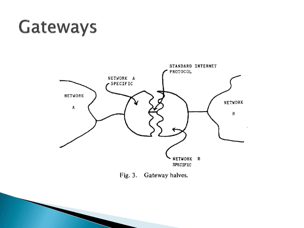#### Gateways



Fig. 3. Gateway halves.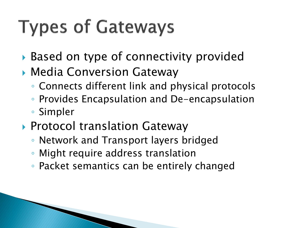## **Types of Gateways**

- ▶ Based on type of connectivity provided
- Media Conversion Gateway
	- Connects different link and physical protocols
	- Provides Encapsulation and De-encapsulation
	- Simpler
- ▶ Protocol translation Gateway
	- Network and Transport layers bridged
	- Might require address translation
	- Packet semantics can be entirely changed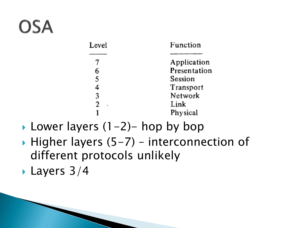## **OSA**

| Function     |
|--------------|
| Application  |
| Presentation |
| Session      |
| Transport    |
| Network      |
| Link         |
| Physical     |
|              |

- **Lower layers**  $(1-2)$  **hop by bop**
- $\blacktriangleright$  Higher layers (5-7) interconnection of different protocols unlikely

**Layers 3/4**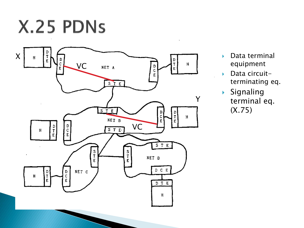X.25 PDNs



- Data terminal equipment
- Data circuit terminating eq.
- $\blacktriangleright$  Signaling terminal eq. (X.75)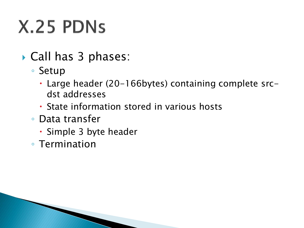## X.25 PDNs

- ▶ Call has 3 phases:
	- Setup
		- Large header (20-166bytes) containing complete srcdst addresses
		- State information stored in various hosts
	- Data transfer
		- Simple 3 byte header
	- Termination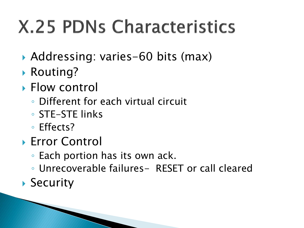## **X.25 PDNs Characteristics**

- Addressing: varies-60 bits (max)
- ▶ Routing?
- ▶ Flow control
	- Different for each virtual circuit
	- STE-STE links
	- Effects?
- **Error Control** 
	- Each portion has its own ack.
	- Unrecoverable failures- RESET or call cleared
- ▶ Security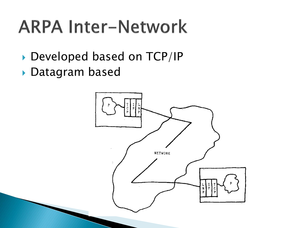## **ARPA Inter-Network**

- Developed based on TCP/IP
- Datagram based

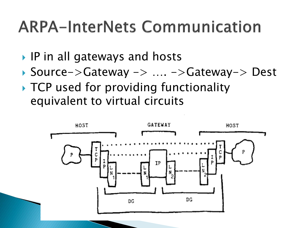#### **ARPA-InterNets Communication**

**▶ IP in all gateways and hosts** 

- Source->Gateway -> …. ->Gateway-> Dest
- ▶ TCP used for providing functionality equivalent to virtual circuits

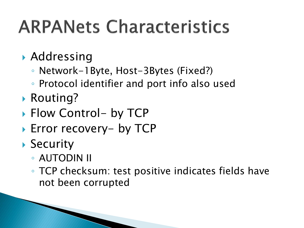## **ARPANets Characteristics**

- Addressing
	- Network-1Byte, Host-3Bytes (Fixed?)
	- Protocol identifier and port info also used
- ▶ Routing?
- ▶ Flow Control- by TCP
- ▶ Error recovery- by TCP
- ▶ Security
	- AUTODIN II
	- TCP checksum: test positive indicates fields have not been corrupted